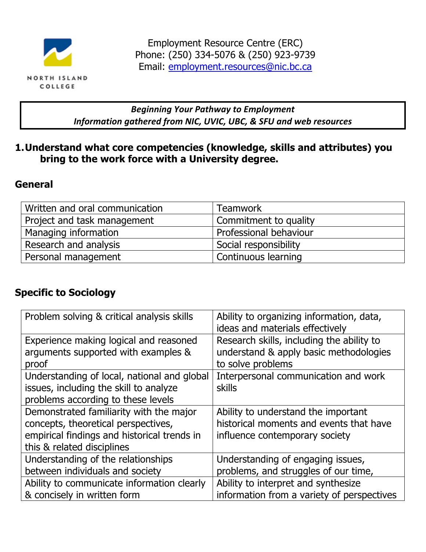

### **Beginning Your Pathway to Employment** *Information gathered from NIC, UVIC, UBC, & SFU and web resources*

### **1.Understand what core competencies (knowledge, skills and attributes) you bring to the work force with a University degree.**

### **General**

| Written and oral communication | <b>Teamwork</b>        |
|--------------------------------|------------------------|
| Project and task management    | Commitment to quality  |
| ' Managing information         | Professional behaviour |
| Research and analysis          | Social responsibility  |
| Personal management            | Continuous learning    |

# **Specific to Sociology**

| Problem solving & critical analysis skills                                                                                                                  | Ability to organizing information, data,<br>ideas and materials effectively                                                                                    |
|-------------------------------------------------------------------------------------------------------------------------------------------------------------|----------------------------------------------------------------------------------------------------------------------------------------------------------------|
| Experience making logical and reasoned<br>arguments supported with examples &<br>proof                                                                      | Research skills, including the ability to<br>understand & apply basic methodologies<br>to solve problems                                                       |
| Understanding of local, national and global<br>issues, including the skill to analyze<br>problems according to these levels                                 | Interpersonal communication and work<br><b>skills</b>                                                                                                          |
| Demonstrated familiarity with the major<br>concepts, theoretical perspectives,<br>empirical findings and historical trends in<br>this & related disciplines | Ability to understand the important<br>historical moments and events that have<br>influence contemporary society                                               |
| Understanding of the relationships<br>between individuals and society<br>Ability to communicate information clearly<br>& concisely in written form          | Understanding of engaging issues,<br>problems, and struggles of our time,<br>Ability to interpret and synthesize<br>information from a variety of perspectives |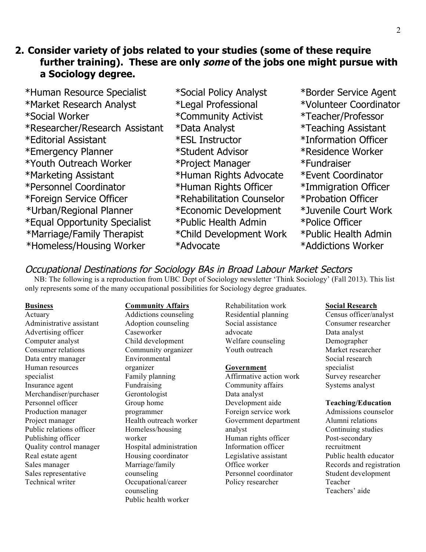### **2. Consider variety of jobs related to your studies (some of these require further training). These are only some of the jobs one might pursue with a Sociology degree.**

- \*Human Resource Specialist \*Social Policy Analyst \*Border Service Agent \*Market Research Analyst \*Legal Professional \*Volunteer Coordinator \*Social Worker \*Community Activist \*Teacher/Professor \*Researcher/Research Assistant \*Data Analyst \*Teaching Assistant \*Editorial Assistant \*ESL Instructor \*Information Officer \*Emergency Planner \*Student Advisor \*Residence Worker \*Youth Outreach Worker \*Project Manager \*Fundraiser \*Marketing Assistant \*Human Rights Advocate \*Event Coordinator \*Personnel Coordinator \*Human Rights Officer \*Immigration Officer \*Foreign Service Officer \*Rehabilitation Counselor \*Probation Officer \*Urban/Regional Planner \*Economic Development \*Juvenile Court Work \*Equal Opportunity Specialist \*Public Health Admin \*Police Officer \*Marriage/Family Therapist \*Child Development Work \*Public Health Admin \*Homeless/Housing Worker \*Advocate \*Addictions Worker
	-
- 

Occupational Destinations for Sociology BAs in Broad Labour Market Sectors<br>NB: The following is a reproduction from UBC Dept of Sociology newsletter 'Think Sociology' (Fall 2013). This list only represents some of the many occupational possibilities for Sociology degree graduates.

#### **Business**

Actuary Administrative assistant Advertising officer Computer analyst Consumer relations Data entry manager Human resources specialist Insurance agent Merchandiser/purchaser Personnel officer Production manager Project manager Public relations officer Publishing officer Quality control manager Real estate agent Sales manager Sales representative Technical writer

### **Community Affairs**

Addictions counseling Adoption counseling Caseworker Child development Community organizer Environmental organizer Family planning Fundraising Gerontologist Group home programmer Health outreach worker Homeless/housing worker Hospital administration Housing coordinator Marriage/family counseling Occupational/career counseling Public health worker

Rehabilitation work Residential planning Social assistance advocate Welfare counseling Youth outreach

#### **Government**

Affirmative action work Community affairs Data analyst Development aide Foreign service work Government department analyst Human rights officer Information officer Legislative assistant Office worker Personnel coordinator Policy researcher

#### **Social Research**

Census officer/analyst Consumer researcher Data analyst Demographer Market researcher Social research specialist Survey researcher Systems analyst

#### **Teaching/Education**

Admissions counselor Alumni relations Continuing studies Post-secondary recruitment Public health educator Records and registration Student development Teacher Teachers' aide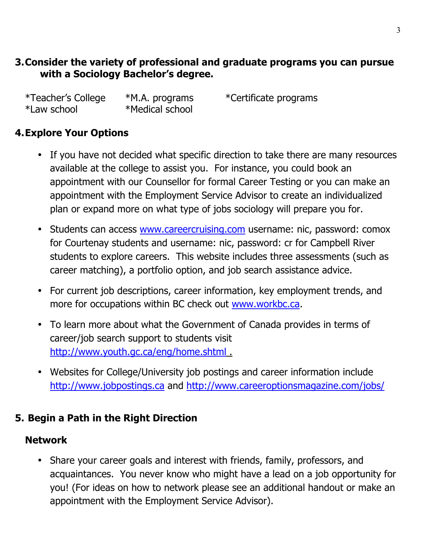### **3.Consider the variety of professional and graduate programs you can pursue with a Sociology Bachelor's degree.**

| *Teacher's College | *M.A. programs  | *Ce |
|--------------------|-----------------|-----|
| *Law school        | *Medical school |     |

rtificate programs

# **4.Explore Your Options**

- If you have not decided what specific direction to take there are many resources available at the college to assist you. For instance, you could book an appointment with our Counsellor for formal Career Testing or you can make an appointment with the Employment Service Advisor to create an individualized plan or expand more on what type of jobs sociology will prepare you for.
- Students can access www.careercruising.com username: nic, password: comox for Courtenay students and username: nic, password: cr for Campbell River students to explore careers. This website includes three assessments (such as career matching), a portfolio option, and job search assistance advice.
- For current job descriptions, career information, key employment trends, and more for occupations within BC check out www.workbc.ca.
- To learn more about what the Government of Canada provides in terms of career/job search support to students visit http://www.youth.gc.ca/eng/home.shtml .
- Websites for College/University job postings and career information include http://www.jobpostings.ca and http://www.careeroptionsmagazine.com/jobs/

# **5. Begin a Path in the Right Direction**

# **Network**

• Share your career goals and interest with friends, family, professors, and acquaintances. You never know who might have a lead on a job opportunity for you! (For ideas on how to network please see an additional handout or make an appointment with the Employment Service Advisor).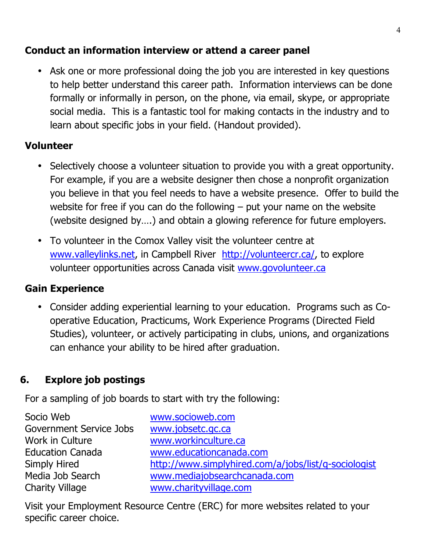# **Conduct an information interview or attend a career panel**

• Ask one or more professional doing the job you are interested in key questions to help better understand this career path. Information interviews can be done formally or informally in person, on the phone, via email, skype, or appropriate social media. This is a fantastic tool for making contacts in the industry and to learn about specific jobs in your field. (Handout provided).

### **Volunteer**

- Selectively choose a volunteer situation to provide you with a great opportunity. For example, if you are a website designer then chose a nonprofit organization you believe in that you feel needs to have a website presence. Offer to build the website for free if you can do the following  $-$  put your name on the website (website designed by….) and obtain a glowing reference for future employers.
- To volunteer in the Comox Valley visit the volunteer centre at www.valleylinks.net, in Campbell River http://volunteercr.ca/, to explore volunteer opportunities across Canada visit www.govolunteer.ca

# **Gain Experience**

• Consider adding experiential learning to your education. Programs such as Cooperative Education, Practicums, Work Experience Programs (Directed Field Studies), volunteer, or actively participating in clubs, unions, and organizations can enhance your ability to be hired after graduation.

# **6. Explore job postings**

For a sampling of job boards to start with try the following:

| Socio Web               | www.socioweb.com                                     |
|-------------------------|------------------------------------------------------|
| Government Service Jobs | www.jobsetc.gc.ca                                    |
| Work in Culture         | www.workinculture.ca                                 |
| <b>Education Canada</b> | www.educationcanada.com                              |
| Simply Hired            | http://www.simplyhired.com/a/jobs/list/q-sociologist |
| Media Job Search        | www.mediajobsearchcanada.com                         |
| <b>Charity Village</b>  | www.charityvillage.com                               |

Visit your Employment Resource Centre (ERC) for more websites related to your specific career choice.